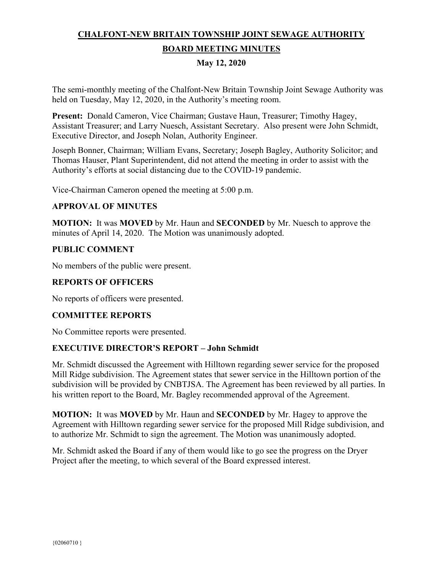# **CHALFONT-NEW BRITAIN TOWNSHIP JOINT SEWAGE AUTHORITY BOARD MEETING MINUTES**

# **May 12, 2020**

The semi-monthly meeting of the Chalfont-New Britain Township Joint Sewage Authority was held on Tuesday, May 12, 2020, in the Authority's meeting room.

**Present:** Donald Cameron, Vice Chairman; Gustave Haun, Treasurer; Timothy Hagey, Assistant Treasurer; and Larry Nuesch, Assistant Secretary. Also present were John Schmidt, Executive Director, and Joseph Nolan, Authority Engineer.

Joseph Bonner, Chairman; William Evans, Secretary; Joseph Bagley, Authority Solicitor; and Thomas Hauser, Plant Superintendent, did not attend the meeting in order to assist with the Authority's efforts at social distancing due to the COVID-19 pandemic.

Vice-Chairman Cameron opened the meeting at 5:00 p.m.

## **APPROVAL OF MINUTES**

**MOTION:** It was **MOVED** by Mr. Haun and **SECONDED** by Mr. Nuesch to approve the minutes of April 14, 2020. The Motion was unanimously adopted.

## **PUBLIC COMMENT**

No members of the public were present.

## **REPORTS OF OFFICERS**

No reports of officers were presented.

#### **COMMITTEE REPORTS**

No Committee reports were presented.

#### **EXECUTIVE DIRECTOR'S REPORT – John Schmidt**

Mr. Schmidt discussed the Agreement with Hilltown regarding sewer service for the proposed Mill Ridge subdivision. The Agreement states that sewer service in the Hilltown portion of the subdivision will be provided by CNBTJSA. The Agreement has been reviewed by all parties. In his written report to the Board, Mr. Bagley recommended approval of the Agreement.

**MOTION:** It was **MOVED** by Mr. Haun and **SECONDED** by Mr. Hagey to approve the Agreement with Hilltown regarding sewer service for the proposed Mill Ridge subdivision, and to authorize Mr. Schmidt to sign the agreement. The Motion was unanimously adopted.

Mr. Schmidt asked the Board if any of them would like to go see the progress on the Dryer Project after the meeting, to which several of the Board expressed interest.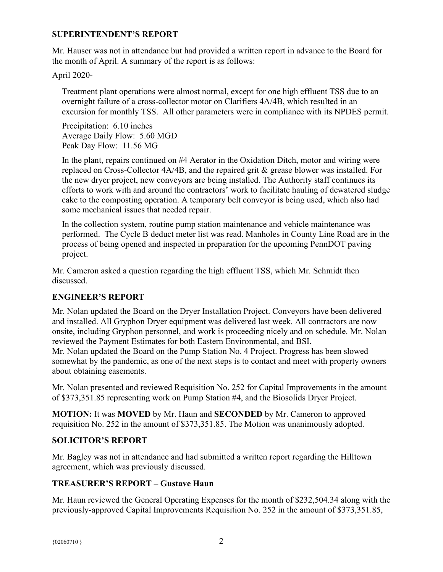#### **SUPERINTENDENT'S REPORT**

Mr. Hauser was not in attendance but had provided a written report in advance to the Board for the month of April. A summary of the report is as follows:

April 2020-

Treatment plant operations were almost normal, except for one high effluent TSS due to an overnight failure of a cross-collector motor on Clarifiers 4A/4B, which resulted in an excursion for monthly TSS. All other parameters were in compliance with its NPDES permit.

Precipitation: 6.10 inches Average Daily Flow: 5.60 MGD Peak Day Flow: 11.56 MG

In the plant, repairs continued on #4 Aerator in the Oxidation Ditch, motor and wiring were replaced on Cross-Collector 4A/4B, and the repaired grit & grease blower was installed. For the new dryer project, new conveyors are being installed. The Authority staff continues its efforts to work with and around the contractors' work to facilitate hauling of dewatered sludge cake to the composting operation. A temporary belt conveyor is being used, which also had some mechanical issues that needed repair.

In the collection system, routine pump station maintenance and vehicle maintenance was performed. The Cycle B deduct meter list was read. Manholes in County Line Road are in the process of being opened and inspected in preparation for the upcoming PennDOT paving project.

Mr. Cameron asked a question regarding the high effluent TSS, which Mr. Schmidt then discussed.

# **ENGINEER'S REPORT**

Mr. Nolan updated the Board on the Dryer Installation Project. Conveyors have been delivered and installed. All Gryphon Dryer equipment was delivered last week. All contractors are now onsite, including Gryphon personnel, and work is proceeding nicely and on schedule. Mr. Nolan reviewed the Payment Estimates for both Eastern Environmental, and BSI.

Mr. Nolan updated the Board on the Pump Station No. 4 Project. Progress has been slowed somewhat by the pandemic, as one of the next steps is to contact and meet with property owners about obtaining easements.

Mr. Nolan presented and reviewed Requisition No. 252 for Capital Improvements in the amount of \$373,351.85 representing work on Pump Station #4, and the Biosolids Dryer Project.

**MOTION:** It was **MOVED** by Mr. Haun and **SECONDED** by Mr. Cameron to approved requisition No. 252 in the amount of \$373,351.85. The Motion was unanimously adopted.

# **SOLICITOR'S REPORT**

Mr. Bagley was not in attendance and had submitted a written report regarding the Hilltown agreement, which was previously discussed.

#### **TREASURER'S REPORT – Gustave Haun**

Mr. Haun reviewed the General Operating Expenses for the month of \$232,504.34 along with the previously-approved Capital Improvements Requisition No. 252 in the amount of \$373,351.85,